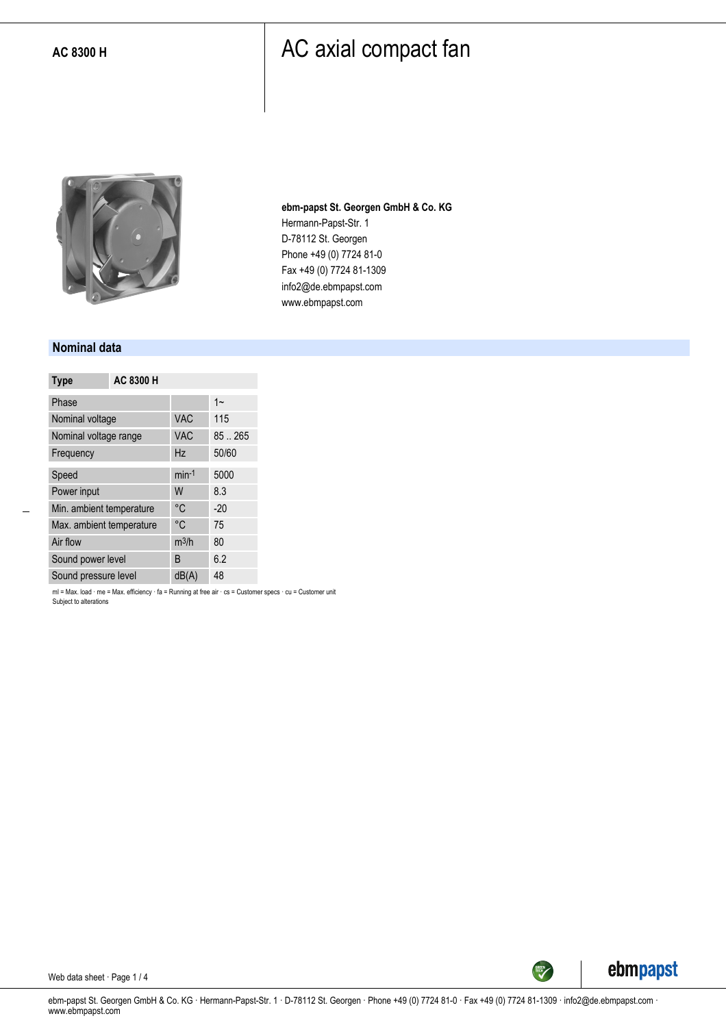

**ebm-papst St. Georgen GmbH & Co. KG** Hermann-Papst-Str. 1 D-78112 St. Georgen Phone +49 (0) 7724 81-0 Fax +49 (0) 7724 81-1309 info2@de.ebmpapst.com www.ebmpapst.com

#### **Nominal data**

| <b>Type</b>              | AC 8300 H |                   |        |
|--------------------------|-----------|-------------------|--------|
| Phase                    |           |                   | $1 -$  |
| Nominal voltage          |           | <b>VAC</b>        | 115    |
| Nominal voltage range    |           | <b>VAC</b>        | 85.265 |
| Frequency                |           | Hz                | 50/60  |
| Speed                    |           | $min-1$           | 5000   |
| Power input              |           | W                 | 8.3    |
| Min. ambient temperature |           | °C                | $-20$  |
| Max. ambient temperature |           | °C                | 75     |
| Air flow                 |           | m <sup>3</sup> /h | 80     |
| Sound power level        |           | B                 | 6.2    |
| Sound pressure level     |           | dB(A)             | 48     |

ml = Max. load · me = Max. efficiency · fa = Running at free air · cs = Customer specs · cu = Customer unit Subject to alterations



Web data sheet · Page 1 / 4

ebm-papst St. Georgen GmbH & Co. KG · Hermann-Papst-Str. 1 · D-78112 St. Georgen · Phone +49 (0) 7724 81-0 · Fax +49 (0) 7724 81-1309 · info2@de.ebmpapst.com · www.ebmpapst.com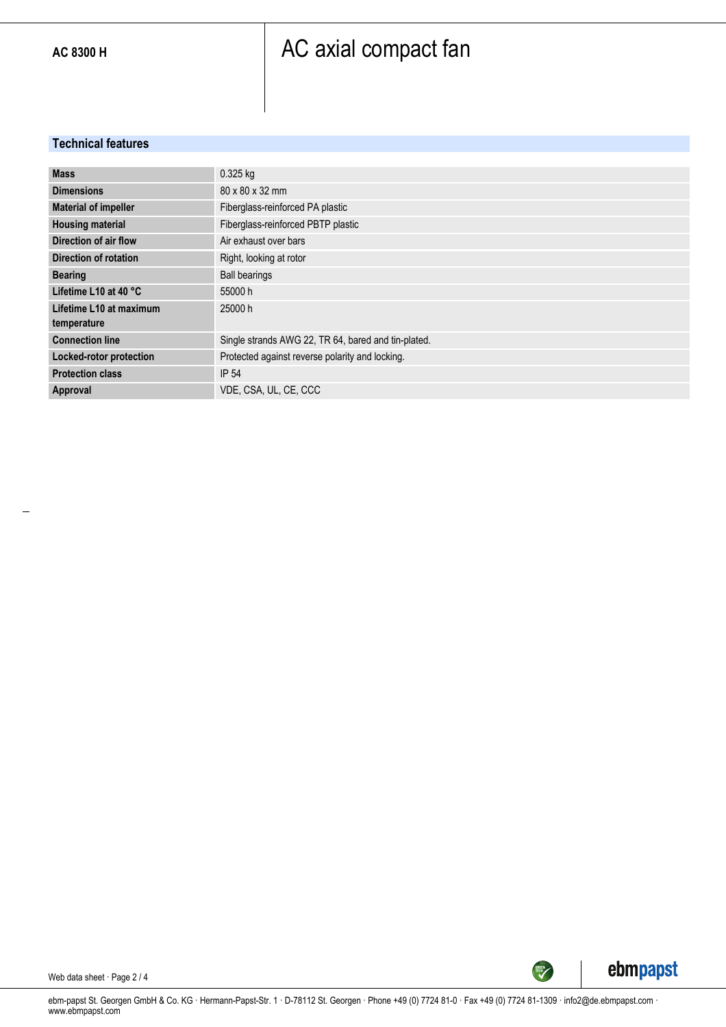#### **Technical features**

| <b>Mass</b>                  | 0.325 kg                                            |
|------------------------------|-----------------------------------------------------|
| <b>Dimensions</b>            | 80 x 80 x 32 mm                                     |
| <b>Material of impeller</b>  | Fiberglass-reinforced PA plastic                    |
| <b>Housing material</b>      | Fiberglass-reinforced PBTP plastic                  |
| Direction of air flow        | Air exhaust over bars                               |
| <b>Direction of rotation</b> | Right, looking at rotor                             |
| <b>Bearing</b>               | <b>Ball bearings</b>                                |
| Lifetime L10 at 40 °C        | 55000 h                                             |
| Lifetime L10 at maximum      | 25000 h                                             |
| temperature                  |                                                     |
| <b>Connection line</b>       | Single strands AWG 22, TR 64, bared and tin-plated. |
| Locked-rotor protection      | Protected against reverse polarity and locking.     |
| <b>Protection class</b>      | <b>IP 54</b>                                        |
| Approval                     | VDE. CSA. UL. CE. CCC                               |



Web data sheet · Page 2 / 4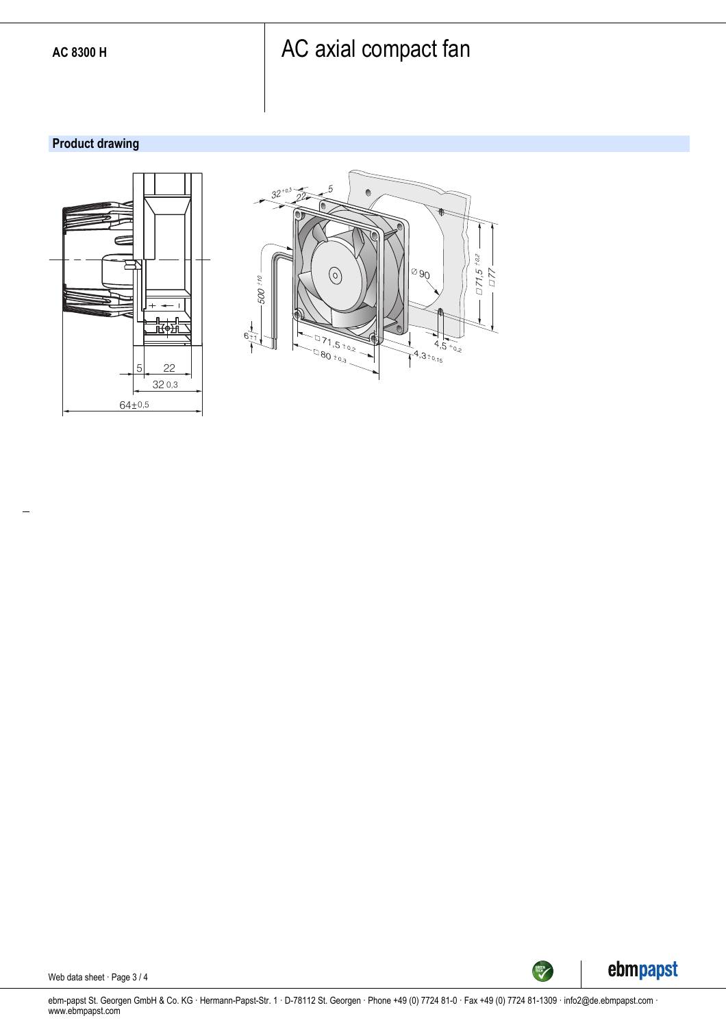#### **Product drawing**







Web data sheet · Page 3 / 4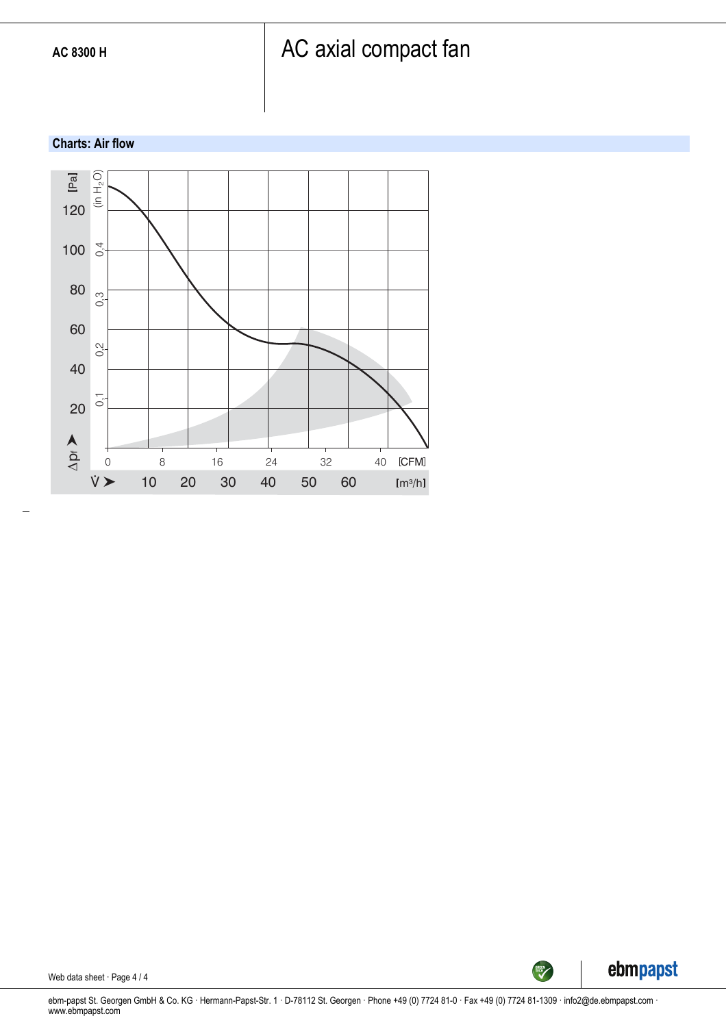#### **Charts: Air flow**



ebmpapst

SREEN

Web data sheet · Page 4 / 4

ebm-papst St. Georgen GmbH & Co. KG · Hermann-Papst-Str. 1 · D-78112 St. Georgen · Phone +49 (0) 7724 81-0 · Fax +49 (0) 7724 81-1309 · info2@de.ebmpapst.com · www.ebmpapst.com